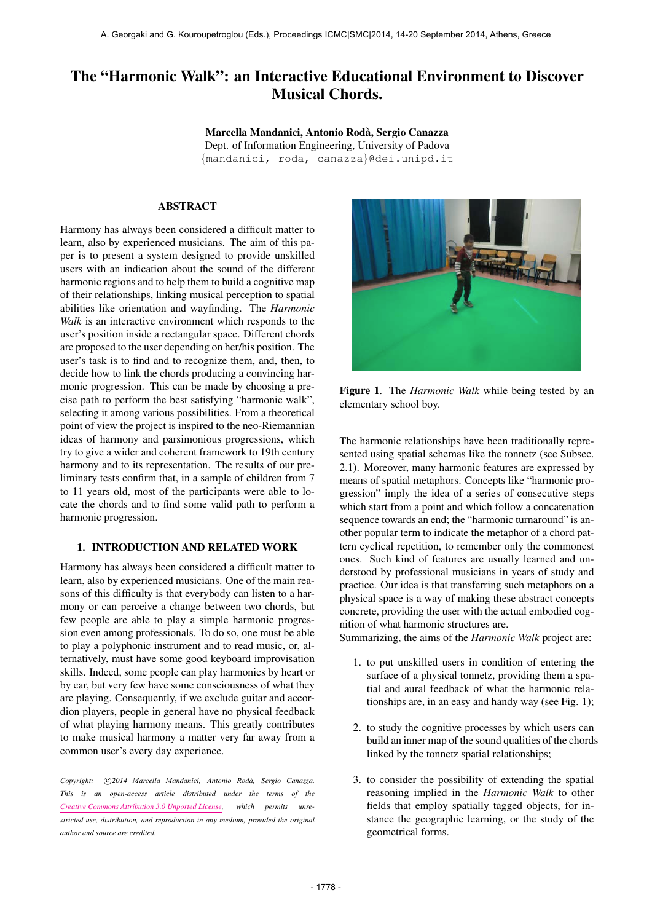# The "Harmonic Walk": an Interactive Educational Environment to Discover Musical Chords.

Marcella Mandanici, Antonio Roda, Sergio Canazza ` Dept. of Information Engineering, University of Padova {[mandanici,](mailto:mandanici@dei.unipd.it) [roda,](mailto:roda@dei.unipd.it) [canazza](mailto:canazza@dei.unipd.it)}@dei.unipd.it

#### ABSTRACT

Harmony has always been considered a difficult matter to learn, also by experienced musicians. The aim of this paper is to present a system designed to provide unskilled users with an indication about the sound of the different harmonic regions and to help them to build a cognitive map of their relationships, linking musical perception to spatial abilities like orientation and wayfinding. The *Harmonic Walk* is an interactive environment which responds to the user's position inside a rectangular space. Different chords are proposed to the user depending on her/his position. The user's task is to find and to recognize them, and, then, to decide how to link the chords producing a convincing harmonic progression. This can be made by choosing a precise path to perform the best satisfying "harmonic walk", selecting it among various possibilities. From a theoretical point of view the project is inspired to the neo-Riemannian ideas of harmony and parsimonious progressions, which try to give a wider and coherent framework to 19th century harmony and to its representation. The results of our preliminary tests confirm that, in a sample of children from 7 to 11 years old, most of the participants were able to locate the chords and to find some valid path to perform a harmonic progression.

# 1. INTRODUCTION AND RELATED WORK

Harmony has always been considered a difficult matter to learn, also by experienced musicians. One of the main reasons of this difficulty is that everybody can listen to a harmony or can perceive a change between two chords, but few people are able to play a simple harmonic progression even among professionals. To do so, one must be able to play a polyphonic instrument and to read music, or, alternatively, must have some good keyboard improvisation skills. Indeed, some people can play harmonies by heart or by ear, but very few have some consciousness of what they are playing. Consequently, if we exclude guitar and accordion players, people in general have no physical feedback of what playing harmony means. This greatly contributes to make musical harmony a matter very far away from a common user's every day experience.

Copyright:  $\bigcirc$ 2014 Marcella Mandanici, Antonio Rodà, Sergio Canazza. *This is an open-access article distributed under the terms of the [Creative Commons Attribution 3.0 Unported License,](http://creativecommons.org/licenses/by/3.0/) which permits unrestricted use, distribution, and reproduction in any medium, provided the original author and source are credited.*



Figure 1. The *Harmonic Walk* while being tested by an elementary school boy.

The harmonic relationships have been traditionally represented using spatial schemas like the tonnetz (see Subsec. 2.1). Moreover, many harmonic features are expressed by means of spatial metaphors. Concepts like "harmonic progression" imply the idea of a series of consecutive steps which start from a point and which follow a concatenation sequence towards an end; the "harmonic turnaround" is another popular term to indicate the metaphor of a chord pattern cyclical repetition, to remember only the commonest ones. Such kind of features are usually learned and understood by professional musicians in years of study and practice. Our idea is that transferring such metaphors on a physical space is a way of making these abstract concepts concrete, providing the user with the actual embodied cognition of what harmonic structures are.

Summarizing, the aims of the *Harmonic Walk* project are:

- 1. to put unskilled users in condition of entering the surface of a physical tonnetz, providing them a spatial and aural feedback of what the harmonic relationships are, in an easy and handy way (see Fig. 1);
- 2. to study the cognitive processes by which users can build an inner map of the sound qualities of the chords linked by the tonnetz spatial relationships;
- 3. to consider the possibility of extending the spatial reasoning implied in the *Harmonic Walk* to other fields that employ spatially tagged objects, for instance the geographic learning, or the study of the geometrical forms.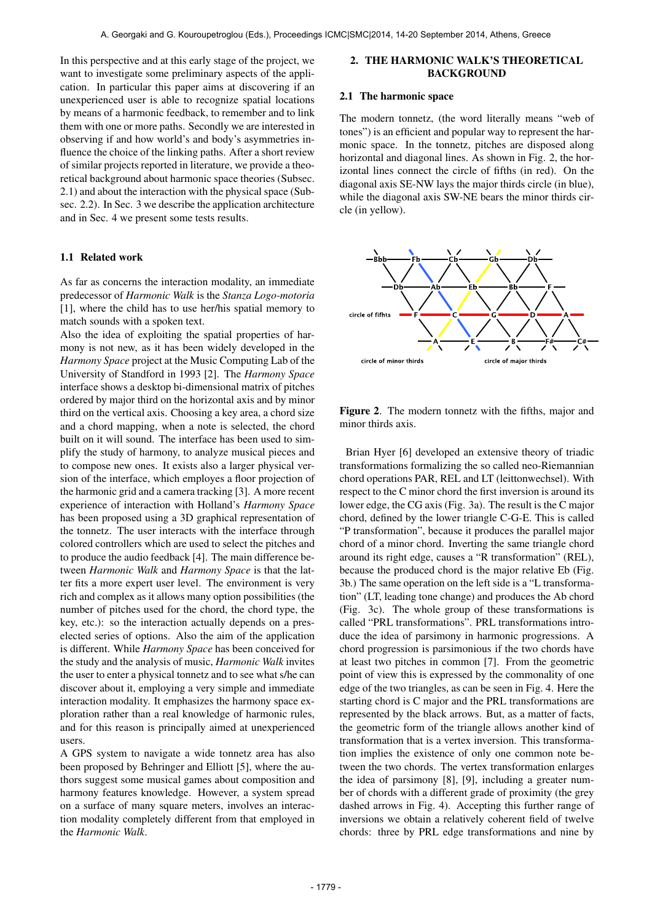In this perspective and at this early stage of the project, we want to investigate some preliminary aspects of the application. In particular this paper aims at discovering if an unexperienced user is able to recognize spatial locations by means of a harmonic feedback, to remember and to link them with one or more paths. Secondly we are interested in observing if and how world's and body's asymmetries influence the choice of the linking paths. After a short review of similar projects reported in literature, we provide a theoretical background about harmonic space theories (Subsec. 2.1) and about the interaction with the physical space (Subsec. 2.2). In Sec. 3 we describe the application architecture and in Sec. 4 we present some tests results.

#### 1.1 Related work

As far as concerns the interaction modality, an immediate predecessor of *Harmonic Walk* is the *Stanza Logo-motoria* [1], where the child has to use her/his spatial memory to match sounds with a spoken text.

Also the idea of exploiting the spatial properties of harmony is not new, as it has been widely developed in the *Harmony Space* project at the Music Computing Lab of the University of Standford in 1993 [2]. The *Harmony Space* interface shows a desktop bi-dimensional matrix of pitches ordered by major third on the horizontal axis and by minor third on the vertical axis. Choosing a key area, a chord size and a chord mapping, when a note is selected, the chord built on it will sound. The interface has been used to simplify the study of harmony, to analyze musical pieces and to compose new ones. It exists also a larger physical version of the interface, which employes a floor projection of the harmonic grid and a camera tracking [3]. A more recent experience of interaction with Holland's *Harmony Space* has been proposed using a 3D graphical representation of the tonnetz. The user interacts with the interface through colored controllers which are used to select the pitches and to produce the audio feedback [4]. The main difference between *Harmonic Walk* and *Harmony Space* is that the latter fits a more expert user level. The environment is very rich and complex as it allows many option possibilities (the number of pitches used for the chord, the chord type, the key, etc.): so the interaction actually depends on a preselected series of options. Also the aim of the application is different. While *Harmony Space* has been conceived for the study and the analysis of music, *Harmonic Walk* invites the user to enter a physical tonnetz and to see what s/he can discover about it, employing a very simple and immediate interaction modality. It emphasizes the harmony space exploration rather than a real knowledge of harmonic rules, and for this reason is principally aimed at unexperienced users.

A GPS system to navigate a wide tonnetz area has also been proposed by Behringer and Elliott [5], where the authors suggest some musical games about composition and harmony features knowledge. However, a system spread on a surface of many square meters, involves an interaction modality completely different from that employed in the *Harmonic Walk*.

# 2. THE HARMONIC WALK'S THEORETICAL BACKGROUND

#### 2.1 The harmonic space

The modern tonnetz, (the word literally means "web of tones") is an efficient and popular way to represent the harmonic space. In the tonnetz, pitches are disposed along horizontal and diagonal lines. As shown in Fig. 2, the horizontal lines connect the circle of fifths (in red). On the diagonal axis SE-NW lays the major thirds circle (in blue), while the diagonal axis SW-NE bears the minor thirds circle (in yellow).



Figure 2. The modern tonnetz with the fifths, major and minor thirds axis.

Brian Hyer [6] developed an extensive theory of triadic transformations formalizing the so called neo-Riemannian chord operations PAR, REL and LT (leittonwechsel). With respect to the C minor chord the first inversion is around its lower edge, the CG axis (Fig. 3a). The result is the C major chord, defined by the lower triangle C-G-E. This is called "P transformation", because it produces the parallel major chord of a minor chord. Inverting the same triangle chord around its right edge, causes a "R transformation" (REL), because the produced chord is the major relative Eb (Fig. 3b.) The same operation on the left side is a "L transformation" (LT, leading tone change) and produces the Ab chord (Fig. 3c). The whole group of these transformations is called "PRL transformations". PRL transformations introduce the idea of parsimony in harmonic progressions. A chord progression is parsimonious if the two chords have at least two pitches in common [7]. From the geometric point of view this is expressed by the commonality of one edge of the two triangles, as can be seen in Fig. 4. Here the starting chord is C major and the PRL transformations are represented by the black arrows. But, as a matter of facts, the geometric form of the triangle allows another kind of transformation that is a vertex inversion. This transformation implies the existence of only one common note between the two chords. The vertex transformation enlarges the idea of parsimony [8], [9], including a greater number of chords with a different grade of proximity (the grey dashed arrows in Fig. 4). Accepting this further range of inversions we obtain a relatively coherent field of twelve chords: three by PRL edge transformations and nine by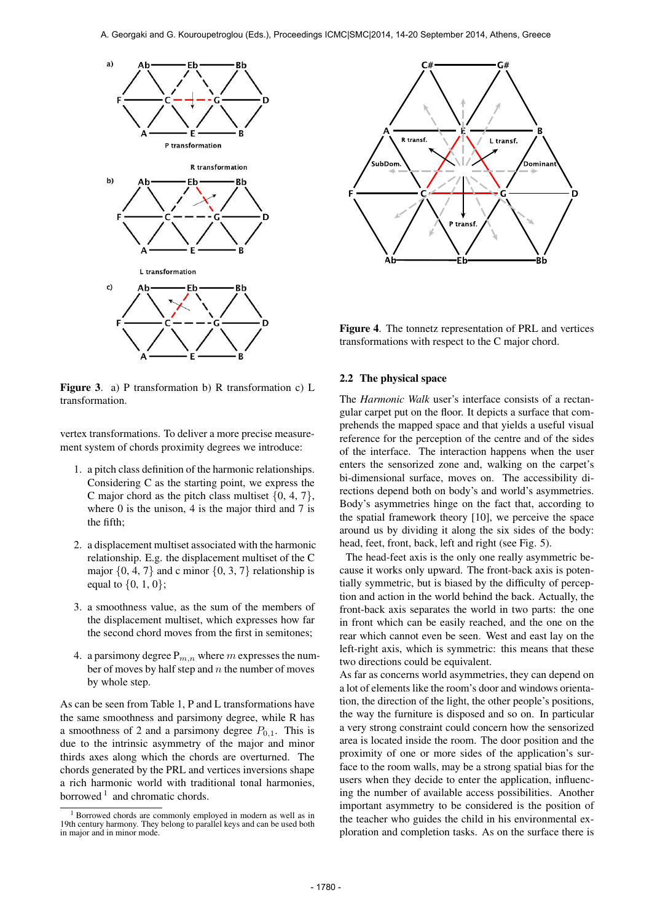



Figure 4. The tonnetz representation of PRL and vertices transformations with respect to the C major chord.

Figure 3. a) P transformation b) R transformation c) L transformation.

vertex transformations. To deliver a more precise measurement system of chords proximity degrees we introduce:

- 1. a pitch class definition of the harmonic relationships. Considering C as the starting point, we express the C major chord as the pitch class multiset  $\{0, 4, 7\}$ , where 0 is the unison, 4 is the major third and 7 is the fifth;
- 2. a displacement multiset associated with the harmonic relationship. E.g. the displacement multiset of the C major  $\{0, 4, 7\}$  and c minor  $\{0, 3, 7\}$  relationship is equal to  $\{0, 1, 0\}$ ;
- 3. a smoothness value, as the sum of the members of the displacement multiset, which expresses how far the second chord moves from the first in semitones;
- 4. a parsimony degree  $P_{m,n}$  where m expresses the number of moves by half step and  $n$  the number of moves by whole step.

As can be seen from Table 1, P and L transformations have the same smoothness and parsimony degree, while R has a smoothness of 2 and a parsimony degree  $P_{0,1}$ . This is due to the intrinsic asymmetry of the major and minor thirds axes along which the chords are overturned. The chords generated by the PRL and vertices inversions shape a rich harmonic world with traditional tonal harmonies, borrowed  $1$  and chromatic chords.

# 2.2 The physical space

The *Harmonic Walk* user's interface consists of a rectangular carpet put on the floor. It depicts a surface that comprehends the mapped space and that yields a useful visual reference for the perception of the centre and of the sides of the interface. The interaction happens when the user enters the sensorized zone and, walking on the carpet's bi-dimensional surface, moves on. The accessibility directions depend both on body's and world's asymmetries. Body's asymmetries hinge on the fact that, according to the spatial framework theory [10], we perceive the space around us by dividing it along the six sides of the body: head, feet, front, back, left and right (see Fig. 5).

The head-feet axis is the only one really asymmetric because it works only upward. The front-back axis is potentially symmetric, but is biased by the difficulty of perception and action in the world behind the back. Actually, the front-back axis separates the world in two parts: the one in front which can be easily reached, and the one on the rear which cannot even be seen. West and east lay on the left-right axis, which is symmetric: this means that these two directions could be equivalent.

As far as concerns world asymmetries, they can depend on a lot of elements like the room's door and windows orientation, the direction of the light, the other people's positions, the way the furniture is disposed and so on. In particular a very strong constraint could concern how the sensorized area is located inside the room. The door position and the proximity of one or more sides of the application's surface to the room walls, may be a strong spatial bias for the users when they decide to enter the application, influencing the number of available access possibilities. Another important asymmetry to be considered is the position of the teacher who guides the child in his environmental exploration and completion tasks. As on the surface there is

<sup>1</sup> Borrowed chords are commonly employed in modern as well as in 19th century harmony. They belong to parallel keys and can be used both in major and in minor mode.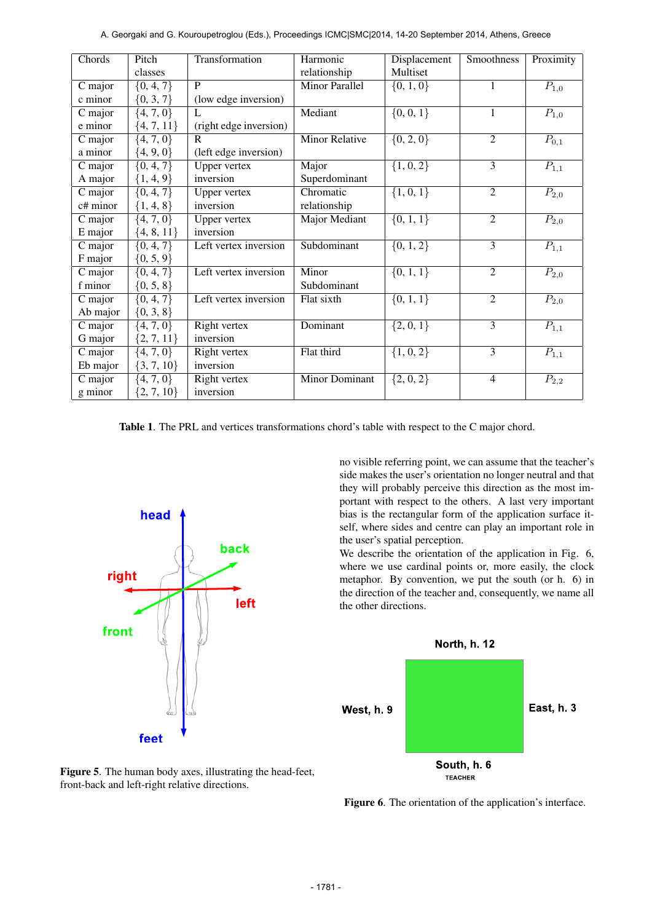|  |  |  |  |  | A. Georgaki and G. Kouroupetroglou (Eds.), Proceedings ICMC SMC 2014, 14-20 September 2014, Athens, Greece |  |
|--|--|--|--|--|------------------------------------------------------------------------------------------------------------|--|
|--|--|--|--|--|------------------------------------------------------------------------------------------------------------|--|

| Chords   | Pitch          | Transformation         | Harmonic              | Displacement  | Smoothness     | Proximity            |
|----------|----------------|------------------------|-----------------------|---------------|----------------|----------------------|
|          | classes        |                        | relationship          | Multiset      |                |                      |
| C major  | $\{0, 4, 7\}$  | P                      | <b>Minor Parallel</b> | $\{0, 1, 0\}$ | $\mathbf{1}$   | $P_{1,0}$            |
| c minor  | $\{0, 3, 7\}$  | (low edge inversion)   |                       |               |                |                      |
| C major  | $\{4, 7, 0\}$  | L                      | Mediant               | $\{0, 0, 1\}$ | 1              | $P_{1,0}$            |
| e minor  | ${4, 7, 11}$   | (right edge inversion) |                       |               |                |                      |
| C major  | $\{4, 7, 0\}$  | $\mathbf{R}$           | <b>Minor Relative</b> | $\{0, 2, 0\}$ | $\overline{2}$ | $P_{0,1}$            |
| a minor  | $\{4, 9, 0\}$  | (left edge inversion)  |                       |               |                |                      |
| C major  | $\{0, 4, 7\}$  | <b>Upper vertex</b>    | Major                 | $\{1, 0, 2\}$ | $\overline{3}$ | $P_{1,1}$            |
| A major  | $\{1, 4, 9\}$  | inversion              | Superdominant         |               |                |                      |
| C major  | $\{0, 4, 7\}$  | <b>Upper vertex</b>    | Chromatic             | $\{1, 0, 1\}$ | $\overline{2}$ | $P_{2,0}$            |
| c# minor | $\{1, 4, 8\}$  | inversion              | relationship          |               |                |                      |
| C major  | $\{4, 7, 0\}$  | <b>Upper vertex</b>    | Major Mediant         | $\{0, 1, 1\}$ | $\overline{2}$ | $P_{2,0}$            |
| E major  | ${4, 8, 11}$   | inversion              |                       |               |                |                      |
| C major  | $\{0, 4, 7\}$  | Left vertex inversion  | Subdominant           | $\{0, 1, 2\}$ | $\overline{3}$ | $P_{1,1}$            |
| F major  | $\{0, 5, 9\}$  |                        |                       |               |                |                      |
| C major  | $\{0, 4, 7\}$  | Left vertex inversion  | Minor                 | $\{0, 1, 1\}$ | $\overline{2}$ | $\overline{P_{2,0}}$ |
| f minor  | $\{0, 5, 8\}$  |                        | Subdominant           |               |                |                      |
| C major  | $\{0, 4, 7\}$  | Left vertex inversion  | Flat sixth            | $\{0, 1, 1\}$ | $\overline{2}$ | $P_{2,0}$            |
| Ab major | $\{0, 3, 8\}$  |                        |                       |               |                |                      |
| C major  | $\{4, 7, 0\}$  | Right vertex           | Dominant              | $\{2, 0, 1\}$ | $\overline{3}$ | $P_{1,1}$            |
| G major  | $\{2, 7, 11\}$ | inversion              |                       |               |                |                      |
| C major  | $\{4, 7, 0\}$  | Right vertex           | Flat third            | $\{1, 0, 2\}$ | $\overline{3}$ | $P_{1,1}$            |
| Eb major | $\{3, 7, 10\}$ | inversion              |                       |               |                |                      |
| C major  | $\{4, 7, 0\}$  | Right vertex           | <b>Minor Dominant</b> | ${2, 0, 2}$   | $\overline{4}$ | $P_{2,2}$            |
| g minor  | $\{2, 7, 10\}$ | inversion              |                       |               |                |                      |

Table 1. The PRL and vertices transformations chord's table with respect to the C major chord.



Figure 5. The human body axes, illustrating the head-feet, front-back and left-right relative directions.

no visible referring point, we can assume that the teacher's side makes the user's orientation no longer neutral and that they will probably perceive this direction as the most important with respect to the others. A last very important bias is the rectangular form of the application surface itself, where sides and centre can play an important role in the user's spatial perception.

We describe the orientation of the application in Fig. 6, where we use cardinal points or, more easily, the clock metaphor. By convention, we put the south (or h. 6) in the direction of the teacher and, consequently, we name all the other directions.



Figure 6. The orientation of the application's interface.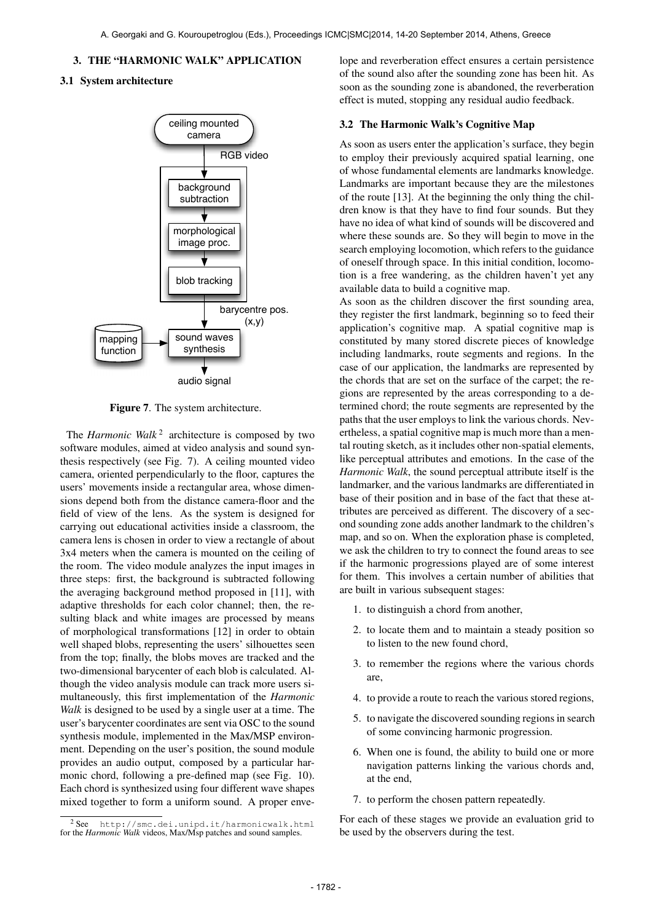#### 3. THE "HARMONIC WALK" APPLICATION

# 3.1 System architecture



Figure 7. The system architecture.

The *Harmonic Walk*<sup>2</sup> architecture is composed by two software modules, aimed at video analysis and sound synthesis respectively (see Fig. 7). A ceiling mounted video camera, oriented perpendicularly to the floor, captures the users' movements inside a rectangular area, whose dimensions depend both from the distance camera-floor and the field of view of the lens. As the system is designed for carrying out educational activities inside a classroom, the camera lens is chosen in order to view a rectangle of about 3x4 meters when the camera is mounted on the ceiling of the room. The video module analyzes the input images in three steps: first, the background is subtracted following the averaging background method proposed in [11], with adaptive thresholds for each color channel; then, the resulting black and white images are processed by means of morphological transformations [12] in order to obtain well shaped blobs, representing the users' silhouettes seen from the top; finally, the blobs moves are tracked and the two-dimensional barycenter of each blob is calculated. Although the video analysis module can track more users simultaneously, this first implementation of the *Harmonic Walk* is designed to be used by a single user at a time. The user's barycenter coordinates are sent via OSC to the sound synthesis module, implemented in the Max/MSP environment. Depending on the user's position, the sound module provides an audio output, composed by a particular harmonic chord, following a pre-defined map (see Fig. 10). Each chord is synthesized using four different wave shapes mixed together to form a uniform sound. A proper envelope and reverberation effect ensures a certain persistence of the sound also after the sounding zone has been hit. As soon as the sounding zone is abandoned, the reverberation effect is muted, stopping any residual audio feedback.

#### 3.2 The Harmonic Walk's Cognitive Map

As soon as users enter the application's surface, they begin to employ their previously acquired spatial learning, one of whose fundamental elements are landmarks knowledge. Landmarks are important because they are the milestones of the route [13]. At the beginning the only thing the children know is that they have to find four sounds. But they have no idea of what kind of sounds will be discovered and where these sounds are. So they will begin to move in the search employing locomotion, which refers to the guidance of oneself through space. In this initial condition, locomotion is a free wandering, as the children haven't yet any available data to build a cognitive map.

As soon as the children discover the first sounding area, they register the first landmark, beginning so to feed their application's cognitive map. A spatial cognitive map is constituted by many stored discrete pieces of knowledge including landmarks, route segments and regions. In the case of our application, the landmarks are represented by the chords that are set on the surface of the carpet; the regions are represented by the areas corresponding to a determined chord; the route segments are represented by the paths that the user employs to link the various chords. Nevertheless, a spatial cognitive map is much more than a mental routing sketch, as it includes other non-spatial elements, like perceptual attributes and emotions. In the case of the *Harmonic Walk*, the sound perceptual attribute itself is the landmarker, and the various landmarks are differentiated in base of their position and in base of the fact that these attributes are perceived as different. The discovery of a second sounding zone adds another landmark to the children's map, and so on. When the exploration phase is completed, we ask the children to try to connect the found areas to see if the harmonic progressions played are of some interest for them. This involves a certain number of abilities that are built in various subsequent stages:

- 1. to distinguish a chord from another,
- 2. to locate them and to maintain a steady position so to listen to the new found chord,
- 3. to remember the regions where the various chords are,
- 4. to provide a route to reach the various stored regions,
- 5. to navigate the discovered sounding regions in search of some convincing harmonic progression.
- 6. When one is found, the ability to build one or more navigation patterns linking the various chords and, at the end,
- 7. to perform the chosen pattern repeatedly.

For each of these stages we provide an evaluation grid to be used by the observers during the test.

<sup>2</sup> See <http://smc.dei.unipd.it/harmonicwalk.html> for the *Harmonic Walk* videos, Max/Msp patches and sound samples.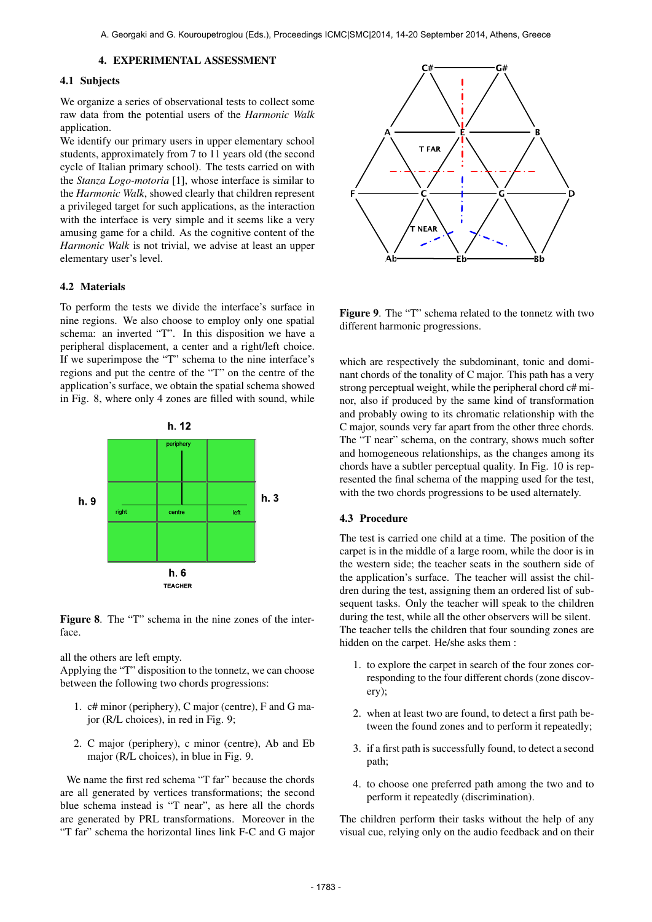#### 4. EXPERIMENTAL ASSESSMENT

# 4.1 Subjects

We organize a series of observational tests to collect some raw data from the potential users of the *Harmonic Walk* application.

We identify our primary users in upper elementary school students, approximately from 7 to 11 years old (the second cycle of Italian primary school). The tests carried on with the *Stanza Logo-motoria* [1], whose interface is similar to the *Harmonic Walk*, showed clearly that children represent a privileged target for such applications, as the interaction with the interface is very simple and it seems like a very amusing game for a child. As the cognitive content of the *Harmonic Walk* is not trivial, we advise at least an upper elementary user's level.

## 4.2 Materials

To perform the tests we divide the interface's surface in nine regions. We also choose to employ only one spatial schema: an inverted "T". In this disposition we have a peripheral displacement, a center and a right/left choice. If we superimpose the "T" schema to the nine interface's regions and put the centre of the "T" on the centre of the application's surface, we obtain the spatial schema showed in Fig. 8, where only 4 zones are filled with sound, while



Figure 8. The "T" schema in the nine zones of the interface.

all the others are left empty.

Applying the "T" disposition to the tonnetz, we can choose between the following two chords progressions:

- 1. c# minor (periphery), C major (centre), F and G major (R/L choices), in red in Fig. 9;
- 2. C major (periphery), c minor (centre), Ab and Eb major (R/L choices), in blue in Fig. 9.

We name the first red schema "T far" because the chords are all generated by vertices transformations; the second blue schema instead is "T near", as here all the chords are generated by PRL transformations. Moreover in the "T far" schema the horizontal lines link F-C and G major



Figure 9. The "T" schema related to the tonnetz with two different harmonic progressions.

which are respectively the subdominant, tonic and dominant chords of the tonality of C major. This path has a very strong perceptual weight, while the peripheral chord c# minor, also if produced by the same kind of transformation and probably owing to its chromatic relationship with the C major, sounds very far apart from the other three chords. The "T near" schema, on the contrary, shows much softer and homogeneous relationships, as the changes among its chords have a subtler perceptual quality. In Fig. 10 is represented the final schema of the mapping used for the test, with the two chords progressions to be used alternately.

#### 4.3 Procedure

The test is carried one child at a time. The position of the carpet is in the middle of a large room, while the door is in the western side; the teacher seats in the southern side of the application's surface. The teacher will assist the children during the test, assigning them an ordered list of subsequent tasks. Only the teacher will speak to the children during the test, while all the other observers will be silent. The teacher tells the children that four sounding zones are hidden on the carpet. He/she asks them :

- 1. to explore the carpet in search of the four zones corresponding to the four different chords (zone discovery);
- 2. when at least two are found, to detect a first path between the found zones and to perform it repeatedly;
- 3. if a first path is successfully found, to detect a second path;
- 4. to choose one preferred path among the two and to perform it repeatedly (discrimination).

The children perform their tasks without the help of any visual cue, relying only on the audio feedback and on their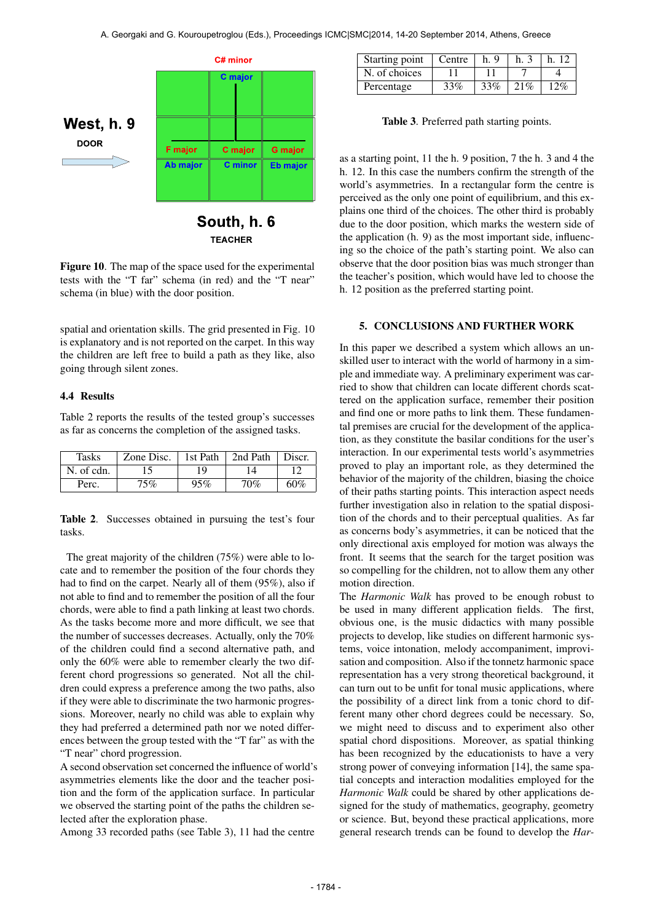

**TEACHER** 

Figure 10. The map of the space used for the experimental tests with the "T far" schema (in red) and the "T near" schema (in blue) with the door position.

spatial and orientation skills. The grid presented in Fig. 10 is explanatory and is not reported on the carpet. In this way the children are left free to build a path as they like, also going through silent zones.

# 4.4 Results

Table 2 reports the results of the tested group's successes as far as concerns the completion of the assigned tasks.

| <b>Tasks</b> | Zone Disc. | 1st Path | 2nd Path | Discr. |
|--------------|------------|----------|----------|--------|
| N. of cdn.   |            | 1 Q      |          |        |
| Perc.        | 75%        | 95%      | 70%      | 60%    |

Table 2. Successes obtained in pursuing the test's four tasks.

The great majority of the children (75%) were able to locate and to remember the position of the four chords they had to find on the carpet. Nearly all of them (95%), also if not able to find and to remember the position of all the four chords, were able to find a path linking at least two chords. As the tasks become more and more difficult, we see that the number of successes decreases. Actually, only the 70% of the children could find a second alternative path, and only the 60% were able to remember clearly the two different chord progressions so generated. Not all the children could express a preference among the two paths, also if they were able to discriminate the two harmonic progressions. Moreover, nearly no child was able to explain why they had preferred a determined path nor we noted differences between the group tested with the "T far" as with the "T near" chord progression.

A second observation set concerned the influence of world's asymmetries elements like the door and the teacher position and the form of the application surface. In particular we observed the starting point of the paths the children selected after the exploration phase.

Among 33 recorded paths (see Table 3), 11 had the centre

| Starting point | Centre | h. 9 |     |     |
|----------------|--------|------|-----|-----|
| N. of choices  |        |      |     |     |
| Percentage     | 33%    | 33%  | 21% | 12% |

Table 3. Preferred path starting points.

as a starting point, 11 the h. 9 position, 7 the h. 3 and 4 the h. 12. In this case the numbers confirm the strength of the world's asymmetries. In a rectangular form the centre is perceived as the only one point of equilibrium, and this explains one third of the choices. The other third is probably due to the door position, which marks the western side of the application (h. 9) as the most important side, influencing so the choice of the path's starting point. We also can observe that the door position bias was much stronger than the teacher's position, which would have led to choose the h. 12 position as the preferred starting point.

## 5. CONCLUSIONS AND FURTHER WORK

In this paper we described a system which allows an unskilled user to interact with the world of harmony in a simple and immediate way. A preliminary experiment was carried to show that children can locate different chords scattered on the application surface, remember their position and find one or more paths to link them. These fundamental premises are crucial for the development of the application, as they constitute the basilar conditions for the user's interaction. In our experimental tests world's asymmetries proved to play an important role, as they determined the behavior of the majority of the children, biasing the choice of their paths starting points. This interaction aspect needs further investigation also in relation to the spatial disposition of the chords and to their perceptual qualities. As far as concerns body's asymmetries, it can be noticed that the only directional axis employed for motion was always the front. It seems that the search for the target position was so compelling for the children, not to allow them any other motion direction.

The *Harmonic Walk* has proved to be enough robust to be used in many different application fields. The first, obvious one, is the music didactics with many possible projects to develop, like studies on different harmonic systems, voice intonation, melody accompaniment, improvisation and composition. Also if the tonnetz harmonic space representation has a very strong theoretical background, it can turn out to be unfit for tonal music applications, where the possibility of a direct link from a tonic chord to different many other chord degrees could be necessary. So, we might need to discuss and to experiment also other spatial chord dispositions. Moreover, as spatial thinking has been recognized by the educationists to have a very strong power of conveying information [14], the same spatial concepts and interaction modalities employed for the *Harmonic Walk* could be shared by other applications designed for the study of mathematics, geography, geometry or science. But, beyond these practical applications, more general research trends can be found to develop the *Har-*